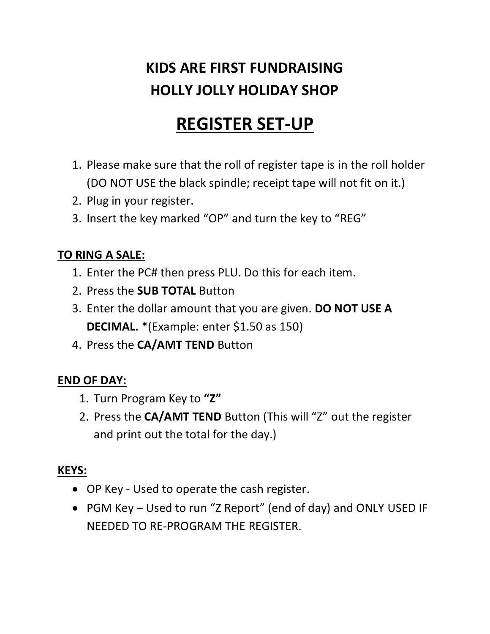### **KIDS ARE FIRST FUNDRAISING HOLLY JOLLY HOLIDAY SHOP**

# **REGISTER SET-UP**

- 1. Please make sure that the roll of register tape is in the roll holder (DO NOT USE the black spindle; receipt tape will not fit on it.)
- 2. Plug in your register.
- 3. Insert the key marked "OP" and turn the key to "REG"

### **TO RING A SALE:**

- 1. Enter the PC# then press PLU. Do this for each item.
- 2. Press the **SUB TOTAL** Button
- 3. Enter the dollar amount that you are given. **DO NOT USE A DECIMAL.** \*(Example: enter \$1.50 as 150)
- 4. Press the **CA/AMT TEND** Button

#### **END OF DAY:**

- 1. Turn Program Key to **"Z"**
- 2. Press the **CA/AMT TEND** Button (This will "Z" out the register and print out the total for the day.)

#### **KEYS:**

- OP Key Used to operate the cash register.
- PGM Key Used to run "Z Report" (end of day) and ONLY USED IF NEEDED TO RE-PROGRAM THE REGISTER.